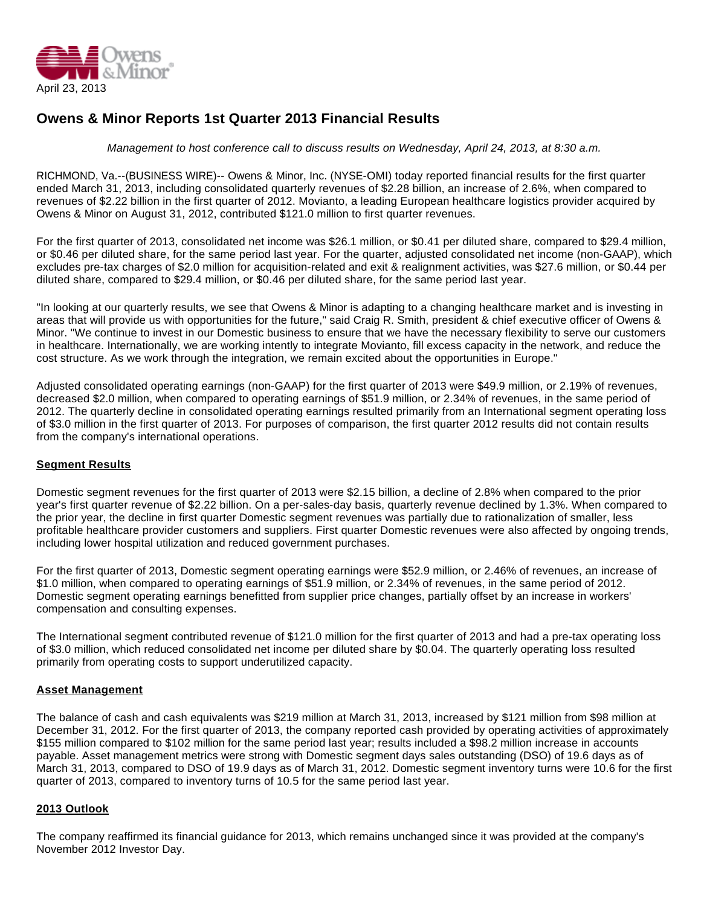

# **Owens & Minor Reports 1st Quarter 2013 Financial Results**

Management to host conference call to discuss results on Wednesday, April 24, 2013, at 8:30 a.m.

RICHMOND, Va.--(BUSINESS WIRE)-- Owens & Minor, Inc. (NYSE-OMI) today reported financial results for the first quarter ended March 31, 2013, including consolidated quarterly revenues of \$2.28 billion, an increase of 2.6%, when compared to revenues of \$2.22 billion in the first quarter of 2012. Movianto, a leading European healthcare logistics provider acquired by Owens & Minor on August 31, 2012, contributed \$121.0 million to first quarter revenues.

For the first quarter of 2013, consolidated net income was \$26.1 million, or \$0.41 per diluted share, compared to \$29.4 million, or \$0.46 per diluted share, for the same period last year. For the quarter, adjusted consolidated net income (non-GAAP), which excludes pre-tax charges of \$2.0 million for acquisition-related and exit & realignment activities, was \$27.6 million, or \$0.44 per diluted share, compared to \$29.4 million, or \$0.46 per diluted share, for the same period last year.

"In looking at our quarterly results, we see that Owens & Minor is adapting to a changing healthcare market and is investing in areas that will provide us with opportunities for the future," said Craig R. Smith, president & chief executive officer of Owens & Minor. "We continue to invest in our Domestic business to ensure that we have the necessary flexibility to serve our customers in healthcare. Internationally, we are working intently to integrate Movianto, fill excess capacity in the network, and reduce the cost structure. As we work through the integration, we remain excited about the opportunities in Europe."

Adjusted consolidated operating earnings (non-GAAP) for the first quarter of 2013 were \$49.9 million, or 2.19% of revenues, decreased \$2.0 million, when compared to operating earnings of \$51.9 million, or 2.34% of revenues, in the same period of 2012. The quarterly decline in consolidated operating earnings resulted primarily from an International segment operating loss of \$3.0 million in the first quarter of 2013. For purposes of comparison, the first quarter 2012 results did not contain results from the company's international operations.

### **Segment Results**

Domestic segment revenues for the first quarter of 2013 were \$2.15 billion, a decline of 2.8% when compared to the prior year's first quarter revenue of \$2.22 billion. On a per-sales-day basis, quarterly revenue declined by 1.3%. When compared to the prior year, the decline in first quarter Domestic segment revenues was partially due to rationalization of smaller, less profitable healthcare provider customers and suppliers. First quarter Domestic revenues were also affected by ongoing trends, including lower hospital utilization and reduced government purchases.

For the first quarter of 2013, Domestic segment operating earnings were \$52.9 million, or 2.46% of revenues, an increase of \$1.0 million, when compared to operating earnings of \$51.9 million, or 2.34% of revenues, in the same period of 2012. Domestic segment operating earnings benefitted from supplier price changes, partially offset by an increase in workers' compensation and consulting expenses.

The International segment contributed revenue of \$121.0 million for the first quarter of 2013 and had a pre-tax operating loss of \$3.0 million, which reduced consolidated net income per diluted share by \$0.04. The quarterly operating loss resulted primarily from operating costs to support underutilized capacity.

### **Asset Management**

The balance of cash and cash equivalents was \$219 million at March 31, 2013, increased by \$121 million from \$98 million at December 31, 2012. For the first quarter of 2013, the company reported cash provided by operating activities of approximately \$155 million compared to \$102 million for the same period last year; results included a \$98.2 million increase in accounts payable. Asset management metrics were strong with Domestic segment days sales outstanding (DSO) of 19.6 days as of March 31, 2013, compared to DSO of 19.9 days as of March 31, 2012. Domestic segment inventory turns were 10.6 for the first quarter of 2013, compared to inventory turns of 10.5 for the same period last year.

## **2013 Outlook**

The company reaffirmed its financial guidance for 2013, which remains unchanged since it was provided at the company's November 2012 Investor Day.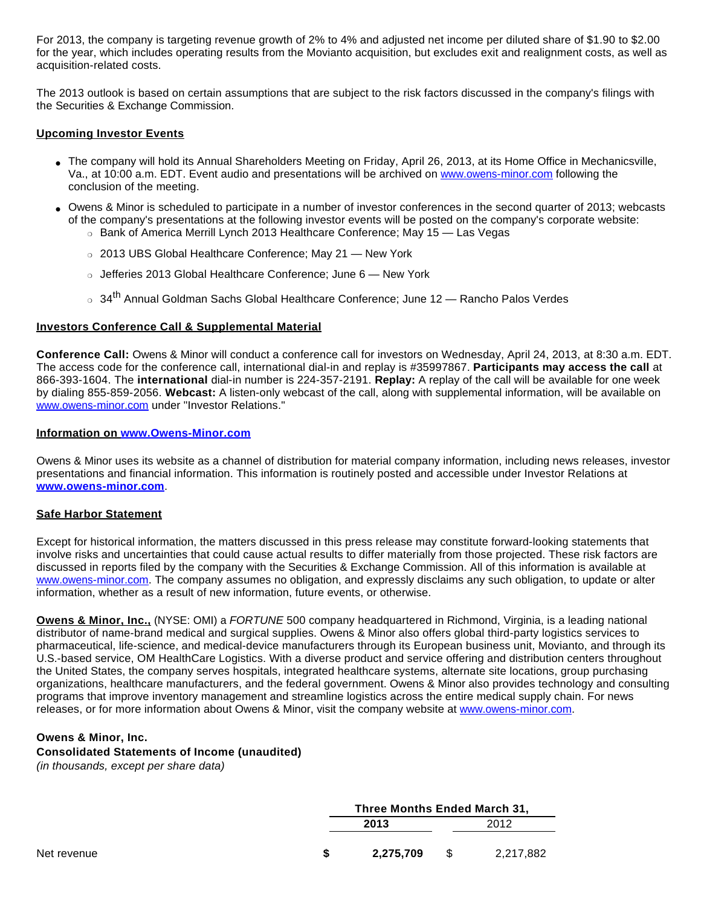For 2013, the company is targeting revenue growth of 2% to 4% and adjusted net income per diluted share of \$1.90 to \$2.00 for the year, which includes operating results from the Movianto acquisition, but excludes exit and realignment costs, as well as acquisition-related costs.

The 2013 outlook is based on certain assumptions that are subject to the risk factors discussed in the company's filings with the Securities & Exchange Commission.

#### **Upcoming Investor Events**

- The company will hold its Annual Shareholders Meeting on Friday, April 26, 2013, at its Home Office in Mechanicsville, Va., at 10:00 a.m. EDT. Event audio and presentations will be archived on [www.owens-minor.com](http://cts.businesswire.com/ct/CT?id=smartlink&url=http%3A%2F%2Fwww.owens-minor.com&esheet=50616642&lan=en-US&anchor=www.owens-minor.com&index=1&md5=f668b875ac0c0089fb4a7cac50723476) following the conclusion of the meeting.
- Owens & Minor is scheduled to participate in a number of investor conferences in the second quarter of 2013; webcasts of the company's presentations at the following investor events will be posted on the company's corporate website:
	- o Bank of America Merrill Lynch 2013 Healthcare Conference; May 15 Las Vegas
	- ❍ 2013 UBS Global Healthcare Conference; May 21 New York
	- o Jefferies 2013 Global Healthcare Conference; June 6 New York
	- 34<sup>th</sup> Annual Goldman Sachs Global Healthcare Conference; June 12 Rancho Palos Verdes

#### **Investors Conference Call & Supplemental Material**

**Conference Call:** Owens & Minor will conduct a conference call for investors on Wednesday, April 24, 2013, at 8:30 a.m. EDT. The access code for the conference call, international dial-in and replay is #35997867. **Participants may access the call** at 866-393-1604. The **international** dial-in number is 224-357-2191. **Replay:** A replay of the call will be available for one week by dialing 855-859-2056. **Webcast:** A listen-only webcast of the call, along with supplemental information, will be available on [www.owens-minor.com](http://cts.businesswire.com/ct/CT?id=smartlink&url=http%3A%2F%2Fwww.owens-minor.com&esheet=50616642&lan=en-US&anchor=www.owens-minor.com&index=2&md5=a25ea810023005f7ad2bebb64060577e) under "Investor Relations."

### **Information on [www.Owens-Minor.com](http://cts.businesswire.com/ct/CT?id=smartlink&url=http%3A%2F%2Fwww.Owens-Minor.com&esheet=50616642&lan=en-US&anchor=www.Owens-Minor.com&index=3&md5=6a7e64f0f1fc37b2917e18e5bd41cba6)**

Owens & Minor uses its website as a channel of distribution for material company information, including news releases, investor presentations and financial information. This information is routinely posted and accessible under Investor Relations at **[www.owens-minor.com](http://cts.businesswire.com/ct/CT?id=smartlink&url=http%3A%2F%2Fwww.owens-minor.com&esheet=50616642&lan=en-US&anchor=www.owens-minor.com&index=4&md5=cc4a62f3ef4b84dc66eb597e514a1bd5)**.

### **Safe Harbor Statement**

Except for historical information, the matters discussed in this press release may constitute forward-looking statements that involve risks and uncertainties that could cause actual results to differ materially from those projected. These risk factors are discussed in reports filed by the company with the Securities & Exchange Commission. All of this information is available at [www.owens-minor.com.](http://cts.businesswire.com/ct/CT?id=smartlink&url=http%3A%2F%2Fwww.owens-minor.com&esheet=50616642&lan=en-US&anchor=www.owens-minor.com&index=5&md5=c064c8d045c91da5256a255bfadf4ed6) The company assumes no obligation, and expressly disclaims any such obligation, to update or alter information, whether as a result of new information, future events, or otherwise.

**Owens & Minor, Inc.,** (NYSE: OMI) a FORTUNE 500 company headquartered in Richmond, Virginia, is a leading national distributor of name-brand medical and surgical supplies. Owens & Minor also offers global third-party logistics services to pharmaceutical, life-science, and medical-device manufacturers through its European business unit, Movianto, and through its U.S.-based service, OM HealthCare Logistics. With a diverse product and service offering and distribution centers throughout the United States, the company serves hospitals, integrated healthcare systems, alternate site locations, group purchasing organizations, healthcare manufacturers, and the federal government. Owens & Minor also provides technology and consulting programs that improve inventory management and streamline logistics across the entire medical supply chain. For news releases, or for more information about Owens & Minor, visit the company website at [www.owens-minor.com.](http://cts.businesswire.com/ct/CT?id=smartlink&url=http%3A%2F%2Fwww.owens-minor.com&esheet=50616642&lan=en-US&anchor=www.owens-minor.com&index=6&md5=f012f584de4352765c95dacaa07a8e1d)

## **Owens & Minor, Inc.**

### **Consolidated Statements of Income (unaudited)**

(in thousands, except per share data)

| Three Months Ended March 31,<br>2013<br>2012 |           |     |           |
|----------------------------------------------|-----------|-----|-----------|
|                                              |           |     |           |
|                                              | 2,275,709 | \$. | 2,217,882 |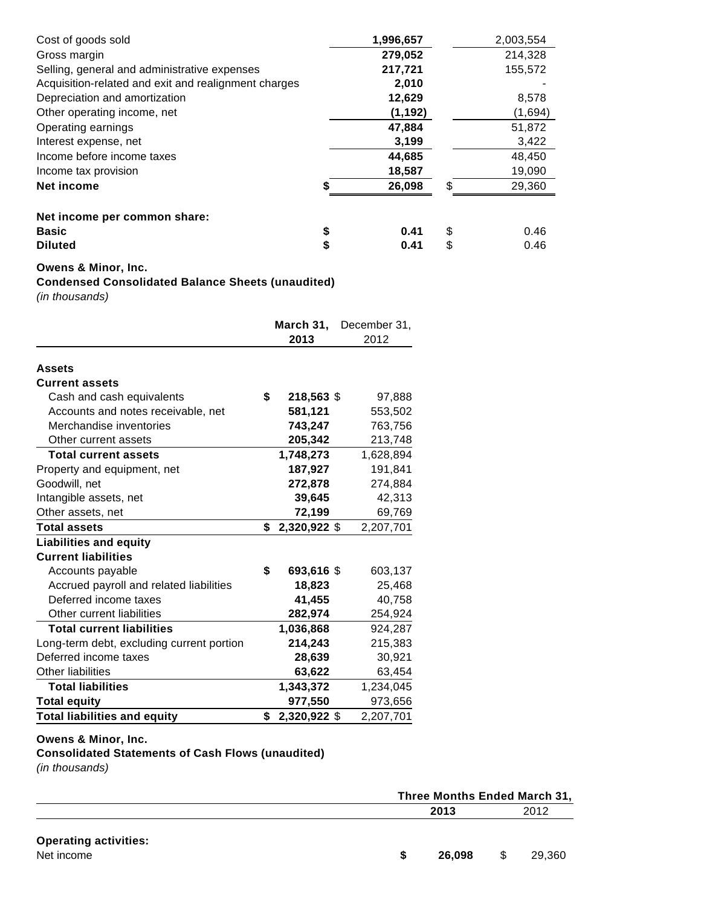| Cost of goods sold                                   |    | 1,996,657 |    | 2,003,554 |
|------------------------------------------------------|----|-----------|----|-----------|
| Gross margin                                         |    | 279,052   |    | 214,328   |
| Selling, general and administrative expenses         |    | 217,721   |    | 155,572   |
| Acquisition-related and exit and realignment charges |    | 2,010     |    |           |
| Depreciation and amortization                        |    | 12,629    |    | 8,578     |
| Other operating income, net                          |    | (1, 192)  |    | (1,694)   |
| Operating earnings                                   |    | 47.884    |    | 51,872    |
| Interest expense, net                                |    | 3,199     |    | 3,422     |
| Income before income taxes                           |    | 44,685    |    | 48,450    |
| Income tax provision                                 |    | 18,587    |    | 19,090    |
| Net income                                           | S  | 26,098    | \$ | 29,360    |
| Net income per common share:                         |    |           |    |           |
| <b>Basic</b>                                         | \$ | 0.41      | S  | 0.46      |
| <b>Diluted</b>                                       | \$ | 0.41      | \$ | 0.46      |

## **Owens & Minor, Inc.**

## **Condensed Consolidated Balance Sheets (unaudited)**

(in thousands)

|                                           | March 31,<br>2013 |              | December 31,<br>2012 |
|-------------------------------------------|-------------------|--------------|----------------------|
| <b>Assets</b>                             |                   |              |                      |
| <b>Current assets</b>                     |                   |              |                      |
| Cash and cash equivalents                 | \$                | 218,563 \$   | 97,888               |
| Accounts and notes receivable, net        |                   | 581,121      | 553,502              |
| Merchandise inventories                   |                   | 743,247      | 763,756              |
| Other current assets                      |                   | 205,342      | 213,748              |
| <b>Total current assets</b>               |                   | 1,748,273    | 1,628,894            |
| Property and equipment, net               |                   | 187,927      | 191,841              |
| Goodwill, net                             |                   | 272,878      | 274,884              |
| Intangible assets, net                    |                   | 39,645       | 42,313               |
| Other assets, net                         |                   | 72,199       | 69,769               |
| <b>Total assets</b>                       | \$                | 2,320,922 \$ | 2,207,701            |
| <b>Liabilities and equity</b>             |                   |              |                      |
| <b>Current liabilities</b>                |                   |              |                      |
| Accounts payable                          | \$                | 693,616 \$   | 603,137              |
| Accrued payroll and related liabilities   |                   | 18,823       | 25,468               |
| Deferred income taxes                     |                   | 41,455       | 40,758               |
| Other current liabilities                 |                   | 282,974      | 254,924              |
| <b>Total current liabilities</b>          |                   | 1,036,868    | 924,287              |
| Long-term debt, excluding current portion |                   | 214,243      | 215,383              |
| Deferred income taxes                     |                   | 28,639       | 30,921               |
| Other liabilities                         |                   | 63,622       | 63,454               |
| <b>Total liabilities</b>                  |                   | 1,343,372    | 1,234,045            |
| <b>Total equity</b>                       |                   | 977,550      | 973,656              |
| <b>Total liabilities and equity</b>       | \$                | 2,320,922 \$ | 2,207,701            |

## **Owens & Minor, Inc.**

## **Consolidated Statements of Cash Flows (unaudited)**

**2013** 2012

(in thousands)

## **Three Months Ended March 31,**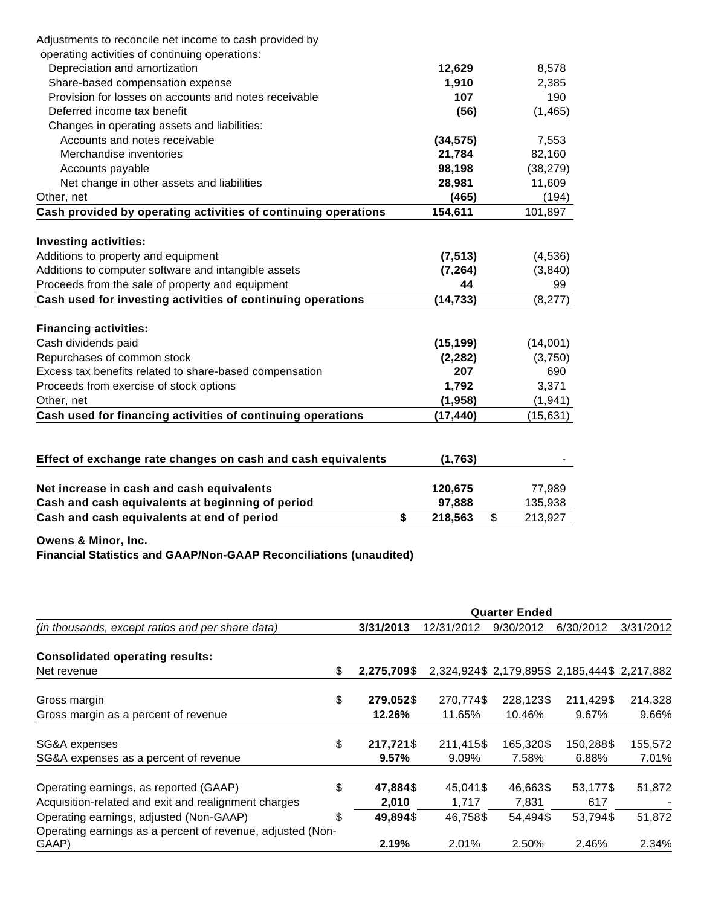| Adjustments to reconcile net income to cash provided by<br>operating activities of continuing operations: |               |               |
|-----------------------------------------------------------------------------------------------------------|---------------|---------------|
| Depreciation and amortization                                                                             | 12,629        | 8,578         |
| Share-based compensation expense                                                                          | 1,910         | 2,385         |
| Provision for losses on accounts and notes receivable                                                     | 107           | 190           |
| Deferred income tax benefit                                                                               | (56)          | (1, 465)      |
| Changes in operating assets and liabilities:                                                              |               |               |
| Accounts and notes receivable                                                                             | (34, 575)     | 7,553         |
| Merchandise inventories                                                                                   | 21,784        | 82,160        |
| Accounts payable                                                                                          | 98,198        | (38, 279)     |
| Net change in other assets and liabilities                                                                | 28,981        | 11,609        |
| Other, net                                                                                                | (465)         | (194)         |
| Cash provided by operating activities of continuing operations                                            | 154,611       | 101,897       |
|                                                                                                           |               |               |
| <b>Investing activities:</b>                                                                              |               |               |
| Additions to property and equipment                                                                       | (7, 513)      | (4,536)       |
| Additions to computer software and intangible assets                                                      | (7, 264)      | (3, 840)      |
| Proceeds from the sale of property and equipment                                                          | 44            | 99            |
| Cash used for investing activities of continuing operations                                               | (14, 733)     | (8, 277)      |
|                                                                                                           |               |               |
| <b>Financing activities:</b>                                                                              |               |               |
| Cash dividends paid                                                                                       | (15, 199)     | (14,001)      |
| Repurchases of common stock                                                                               | (2, 282)      | (3,750)       |
| Excess tax benefits related to share-based compensation                                                   | 207           | 690           |
| Proceeds from exercise of stock options                                                                   | 1,792         | 3,371         |
| Other, net                                                                                                | (1,958)       | (1, 941)      |
| Cash used for financing activities of continuing operations                                               | (17, 440)     | (15, 631)     |
|                                                                                                           |               |               |
|                                                                                                           |               |               |
| Effect of exchange rate changes on cash and cash equivalents                                              | (1,763)       |               |
|                                                                                                           |               |               |
| Net increase in cash and cash equivalents                                                                 | 120,675       | 77,989        |
| Cash and cash equivalents at beginning of period                                                          | 97,888        | 135,938       |
| Cash and cash equivalents at end of period                                                                | \$<br>218,563 | \$<br>213,927 |

**Owens & Minor, Inc.**

**Financial Statistics and GAAP/Non-GAAP Reconciliations (unaudited)**

|                                                                     | <b>Quarter Ended</b> |            |           |                                               |           |  |  |  |
|---------------------------------------------------------------------|----------------------|------------|-----------|-----------------------------------------------|-----------|--|--|--|
| (in thousands, except ratios and per share data)                    | 3/31/2013            | 12/31/2012 | 9/30/2012 | 6/30/2012                                     | 3/31/2012 |  |  |  |
| <b>Consolidated operating results:</b>                              |                      |            |           |                                               |           |  |  |  |
| \$<br>Net revenue                                                   | 2,275,709\$          |            |           | 2,324,924\$ 2,179,895\$ 2,185,444\$ 2,217,882 |           |  |  |  |
| \$<br>Gross margin                                                  | 279,052\$            | 270.774\$  | 228,123\$ | 211,429\$                                     | 214,328   |  |  |  |
| Gross margin as a percent of revenue                                | 12.26%               | 11.65%     | 10.46%    | 9.67%                                         | 9.66%     |  |  |  |
| \$<br>SG&A expenses                                                 | 217,721\$            | 211,415\$  | 165,320\$ | 150,288\$                                     | 155,572   |  |  |  |
| SG&A expenses as a percent of revenue                               | 9.57%                | $9.09\%$   | 7.58%     | 6.88%                                         | 7.01%     |  |  |  |
| \$<br>Operating earnings, as reported (GAAP)                        | 47,884\$             | 45,041\$   | 46,663\$  | 53,177\$                                      | 51,872    |  |  |  |
| Acquisition-related and exit and realignment charges                | 2,010                | 1,717      | 7,831     | 617                                           |           |  |  |  |
| \$<br>Operating earnings, adjusted (Non-GAAP)                       | 49,894\$             | 46,758\$   | 54,494\$  | 53,794\$                                      | 51,872    |  |  |  |
| Operating earnings as a percent of revenue, adjusted (Non-<br>GAAP) | 2.19%                | 2.01%      | 2.50%     | 2.46%                                         | 2.34%     |  |  |  |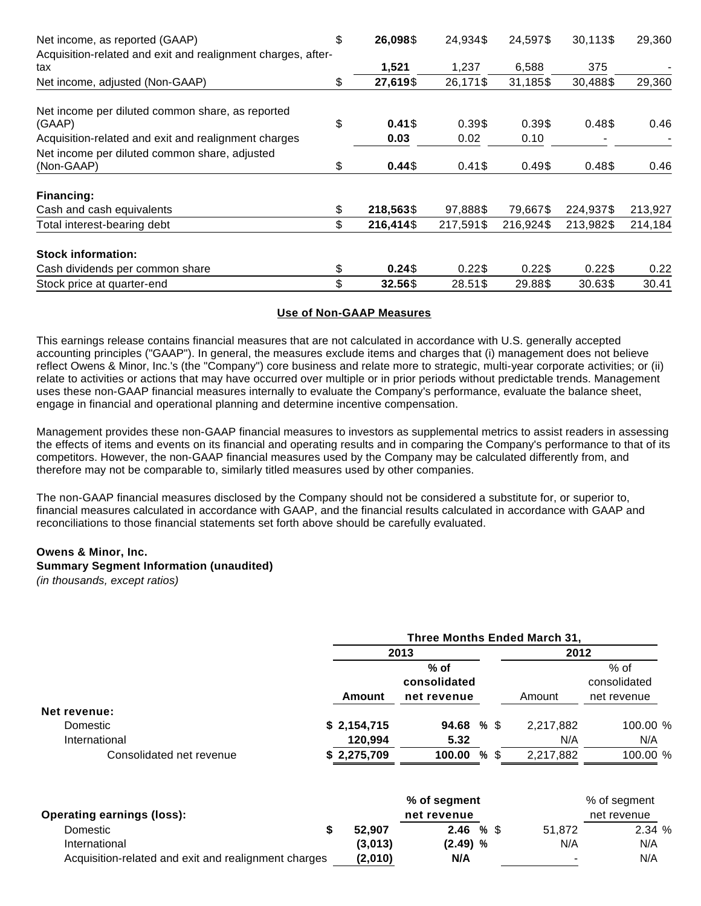| Net income, as reported (GAAP)                                      | \$<br>26,098\$  | 24,934\$  | 24,597\$  | 30,113\$  | 29,360  |
|---------------------------------------------------------------------|-----------------|-----------|-----------|-----------|---------|
| Acquisition-related and exit and realignment charges, after-<br>tax | 1,521           | 1,237     | 6,588     | 375       |         |
| Net income, adjusted (Non-GAAP)                                     | \$<br>27,619\$  | 26,171\$  | 31,185\$  | 30,488\$  | 29,360  |
| Net income per diluted common share, as reported<br>(GAAP)          | \$<br>$0.41$ \$ | 0.39\$    | 0.39\$    | 0.48\$    | 0.46    |
| Acquisition-related and exit and realignment charges                | 0.03            | 0.02      | 0.10      |           |         |
| Net income per diluted common share, adjusted<br>(Non-GAAP)         | \$<br>0.44\$    | 0.41\$    | 0.49\$    | 0.48\$    | 0.46    |
| Financing:                                                          |                 |           |           |           |         |
| Cash and cash equivalents                                           | \$<br>218,563\$ | 97,888\$  | 79,667\$  | 224,937\$ | 213,927 |
| Total interest-bearing debt                                         | \$<br>216,414\$ | 217,591\$ | 216,924\$ | 213,982\$ | 214,184 |
| <b>Stock information:</b>                                           |                 |           |           |           |         |
| Cash dividends per common share                                     | \$<br>0.24\$    | $0.22$ \$ | $0.22$ \$ | 0.22\$    | 0.22    |
| Stock price at quarter-end                                          | \$<br>32.56\$   | 28.51\$   | 29.88\$   | 30.63\$   | 30.41   |

## **Use of Non-GAAP Measures**

This earnings release contains financial measures that are not calculated in accordance with U.S. generally accepted accounting principles ("GAAP"). In general, the measures exclude items and charges that (i) management does not believe reflect Owens & Minor, Inc.'s (the "Company") core business and relate more to strategic, multi-year corporate activities; or (ii) relate to activities or actions that may have occurred over multiple or in prior periods without predictable trends. Management uses these non-GAAP financial measures internally to evaluate the Company's performance, evaluate the balance sheet, engage in financial and operational planning and determine incentive compensation.

Management provides these non-GAAP financial measures to investors as supplemental metrics to assist readers in assessing the effects of items and events on its financial and operating results and in comparing the Company's performance to that of its competitors. However, the non-GAAP financial measures used by the Company may be calculated differently from, and therefore may not be comparable to, similarly titled measures used by other companies.

The non-GAAP financial measures disclosed by the Company should not be considered a substitute for, or superior to, financial measures calculated in accordance with GAAP, and the financial results calculated in accordance with GAAP and reconciliations to those financial statements set forth above should be carefully evaluated.

### **Owens & Minor, Inc.**

## **Summary Segment Information (unaudited)**

(in thousands, except ratios)

|                          |               | <b>Three Months Ended March 31,</b> |   |     |           |                      |  |  |
|--------------------------|---------------|-------------------------------------|---|-----|-----------|----------------------|--|--|
|                          |               | 2013                                |   |     | 2012      |                      |  |  |
|                          |               | $%$ of<br>consolidated              |   |     |           | % of<br>consolidated |  |  |
|                          | <b>Amount</b> | net revenue                         |   |     | Amount    | net revenue          |  |  |
| Net revenue:             |               |                                     |   |     |           |                      |  |  |
| Domestic                 | \$2,154,715   | 94.68%                              |   |     | 2,217,882 | 100.00 %             |  |  |
| International            | 120,994       | 5.32                                |   |     | N/A       | N/A                  |  |  |
| Consolidated net revenue | \$2,275,709   | 100.00                              | % | \$. | 2,217,882 | 100.00 %             |  |  |
|                          |               |                                     |   |     |           |                      |  |  |

|                                                      |         | $%$ of segment |  |                          | % of segment |  |
|------------------------------------------------------|---------|----------------|--|--------------------------|--------------|--|
| Operating earnings (loss):                           |         | net revenue    |  |                          | net revenue  |  |
| Domestic                                             | 52.907  | 2.46%          |  | 51.872                   | 2.34%        |  |
| International                                        | (3,013) | $(2.49)$ %     |  | N/A                      | N/A          |  |
| Acquisition-related and exit and realignment charges | (2,010) | N/A            |  | $\overline{\phantom{a}}$ | N/A          |  |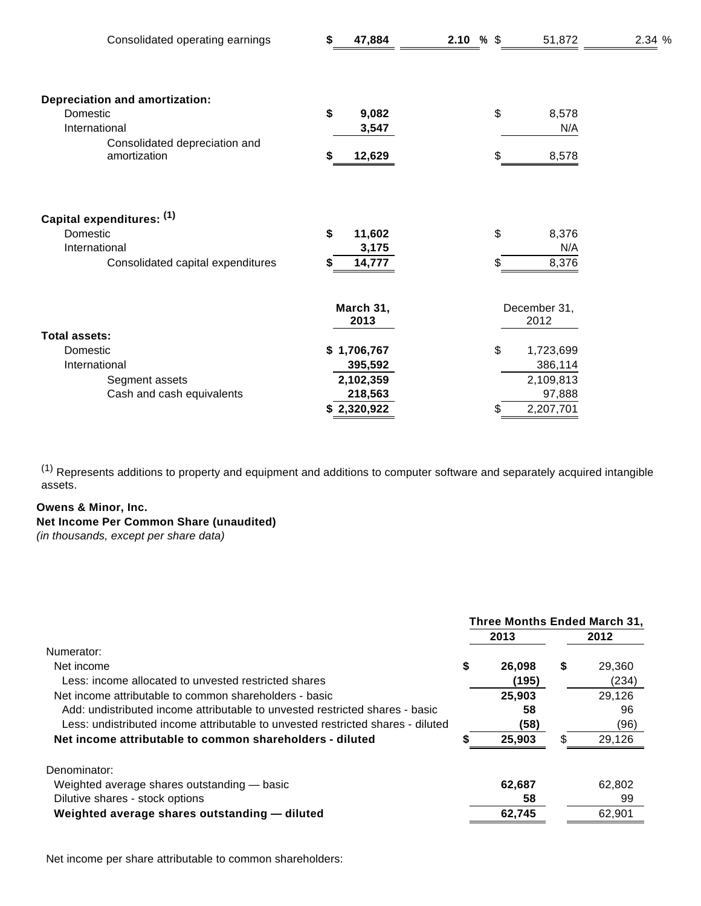| Consolidated operating earnings                        | \$<br>47,884           | 2.10% | 51,872               | 2.34 % |
|--------------------------------------------------------|------------------------|-------|----------------------|--------|
| <b>Depreciation and amortization:</b>                  |                        |       |                      |        |
| Domestic                                               | \$<br>9,082            | \$    | 8,578                |        |
| International                                          | 3,547                  |       | N/A                  |        |
| Consolidated depreciation and<br>amortization          | 12,629<br>\$           | \$    | 8,578                |        |
| Capital expenditures: (1)<br>Domestic<br>International | \$<br>11,602<br>3,175  | \$    | 8,376<br>N/A         |        |
| Consolidated capital expenditures                      | 14,777<br>S            | \$    | 8,376                |        |
|                                                        | March 31,<br>2013      |       | December 31,<br>2012 |        |
| <b>Total assets:</b>                                   |                        |       |                      |        |
| Domestic<br>International                              | \$1,706,767<br>395,592 | \$    | 1,723,699<br>386,114 |        |
| Segment assets                                         | 2,102,359              |       | 2,109,813            |        |
| Cash and cash equivalents                              | 218,563                |       | 97,888               |        |
|                                                        | \$2,320,922            | \$    | 2,207,701            |        |

 $(1)$  Represents additions to property and equipment and additions to computer software and separately acquired intangible assets.

## **Owens & Minor, Inc.**

**Net Income Per Common Share (unaudited)** (in thousands, except per share data)

|                                                                                 | <b>Three Months Ended March 31,</b> |        |    |        |  |
|---------------------------------------------------------------------------------|-------------------------------------|--------|----|--------|--|
|                                                                                 | 2013                                |        |    | 2012   |  |
| Numerator:                                                                      |                                     |        |    |        |  |
| Net income                                                                      | \$                                  | 26,098 | \$ | 29,360 |  |
| Less: income allocated to unvested restricted shares                            |                                     | (195)  |    | (234)  |  |
| Net income attributable to common shareholders - basic                          |                                     | 25.903 |    | 29.126 |  |
| Add: undistributed income attributable to unvested restricted shares - basic    |                                     | 58     |    | 96     |  |
| Less: undistributed income attributable to unvested restricted shares - diluted |                                     | (58)   |    | (96)   |  |
| Net income attributable to common shareholders - diluted                        |                                     | 25,903 | \$ | 29,126 |  |
| Denominator:                                                                    |                                     |        |    |        |  |
| Weighted average shares outstanding - basic                                     |                                     | 62,687 |    | 62,802 |  |
| Dilutive shares - stock options                                                 |                                     | 58     |    | 99     |  |
| Weighted average shares outstanding - diluted                                   |                                     | 62.745 |    | 62,901 |  |
|                                                                                 |                                     |        |    |        |  |

Net income per share attributable to common shareholders: